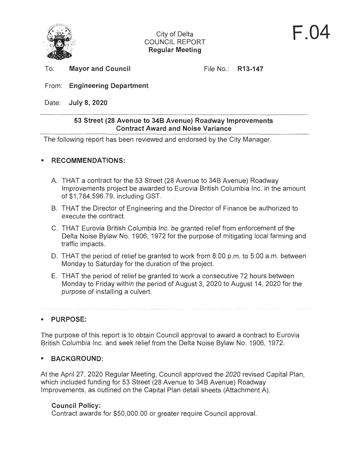

# City of Delta COUNCIL REPORT **Regular Meeting**

To: **Mayor and Council** 

File No.: **R13-147** 

# From: **Engineering Department**

Date: **July 8, 2020** 

# **53 Street (28 Avenue to 348 Avenue) Roadway Improvements Contract Award and Noise Variance**

The following report has been reviewed and endorsed by the City Manager.

# ■ **RECOMMENDATIONS:**

- A. THAT a contract for the 53 Street (28 Avenue to 34B Avenue) Roadway Improvements project be awarded to Eurovia British Columbia Inc. in the amount of \$1,784,596.79, including GST.
- B. THAT the Director of Engineering and the Director of Finance be authorized to execute the contract.
- C. THAT Eurovia British Columbia Inc. be granted relief from enforcement of the Delta Noise Bylaw No. 1906, 1972 for the purpose of mitigating local farming and traffic impacts.
- D. THAT the period of relief be granted to work from 8:00 p.m. to 5:00 a.m. between Monday to Saturday for the duration of the project.
- E. THAT the period of relief be granted to work a consecutive 72 hours between Monday to Friday within the period of August 3, 2020 to August 14, 2020 for the purpose of installing a culvert.

■ **PURPOSE:** 

The purpose of this report is to obtain Council approval to award a contract to Eurovia British Columbia Inc. and seek relief from the Delta Noise Bylaw No. 1906, 1972.

# ■ **BACKGROUND:**

At the April 27, 2020 Regular Meeting, Council approved the 2020 revised Capital Plan, which included funding for 53 Street (28 Avenue to 34B Avenue) Roadway Improvements, as outlined on the Capital Plan detail sheets (Attachment A).

# **Council Policy:**

Contract awards for \$50,000.00 or greater require Council approval.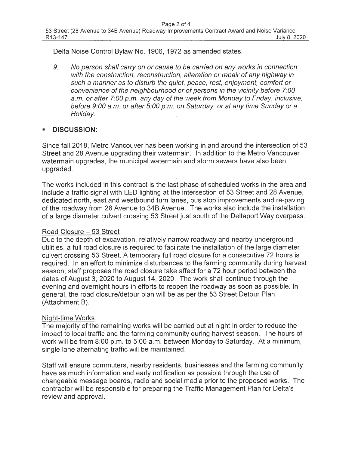Delta Noise Control Bylaw No. 1906, 1972 as amended states:

9. No person shall carry on or cause to be carried on any works in connection with the construction, reconstruction, alteration or repair of any highway in such a manner as to disturb the quiet, peace, rest, enjoyment, comfort or convenience of the neighbourhood or of persons in the vicinity before 7:00 a.m. or after 7:00 p.m. any day of the week from Monday to Friday, inclusive, before 9:00 a.m. or after 5:00 p.m. on Saturday, or at any time Sunday or a Holiday.

# ■ **DISCUSSION:**

Since fall 2018, Metro Vancouver has been working in and around the intersection of 53 Street and 28 Avenue upgrading their watermain. In addition to the Metro Vancouver watermain upgrades, the municipal watermain and storm sewers have also been upgraded.

The works included in this contract is the last phase of scheduled works in the area and include a traffic signal with LED lighting at the intersection of 53 Street and 28 Avenue, dedicated north, east and westbound turn lanes, bus stop improvements and re-paving of the roadway from 28 Avenue to 348 Avenue. The works also include the installation of a large diameter culvert crossing 53 Street just south of the Deltaport Way overpass.

# Road Closure - 53 Street

Due to the depth of excavation, relatively narrow roadway and nearby underground utilities, a full road closure is required to facilitate the installation of the large diameter culvert crossing 53 Street. A temporary full road closure for a consecutive 72 hours is required. In an effort to minimize disturbances to the farming community during harvest season, staff proposes the road closure take affect for a 72 hour period between the dates of August 3, 2020 to August 14, 2020. The work shall continue through the evening and overnight hours in efforts to reopen the roadway as soon as possible. In general, the road closure/detour plan will be as per the 53 Street Detour Plan (Attachment B).

# Night-time Works

The majority of the remaining works will be carried out at night in order to reduce the impact to local traffic and the farming community during harvest season. The hours of work will be from 8:00 p.m. to 5:00 a.m. between Monday to Saturday. At a minimum, single lane alternating traffic will be maintained.

Staff will ensure commuters, nearby residents, businesses and the farming community have as much information and early notification as possible through the use of changeable message boards, radio and social media prior to the proposed works. The contractor will be responsible for preparing the Traffic Management Plan for Delta's review and approval.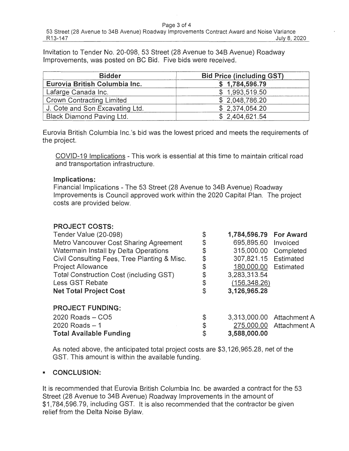#### Page 3 of 4

Invitation to Tender No. 20-098, 53 Street (28 Avenue to 34B Avenue) Roadway Improvements, was posted on BC Bid. Five bids were received.

| <b>Bidder</b>                    | <b>Bid Price (including GST)</b> |  |
|----------------------------------|----------------------------------|--|
| Eurovia British Columbia Inc.    | \$1,784,596.79                   |  |
| Lafarge Canada Inc.              | \$1,993,519.50                   |  |
| <b>Crown Contracting Limited</b> | \$2,048,786.20                   |  |
| J. Cote and Son Excavating Ltd.  | \$2,374,054.20                   |  |
| <b>Black Diamond Paving Ltd.</b> | \$2,404,621.54                   |  |

Eurovia British Columbia lnc.'s bid was the lowest priced and meets the requirements of the project.

COVID-19 Implications - This work is essential at this time to maintain critical road and transportation infrastructure.

### **Implications:**

Financial Implications - The 53 Street (28 Avenue to 34B Avenue) Roadway Improvements is Council approved work within the 2020 Capital Plan. The project costs are provided below.

| <b>PROJECT COSTS:</b>                        |                              |                           |
|----------------------------------------------|------------------------------|---------------------------|
| Tender Value (20-098)                        | \$<br>1,784,596.79 For Award |                           |
| Metro Vancouver Cost Sharing Agreement       | \$<br>695,895.60 Invoiced    |                           |
| Watermain Install by Delta Operations        | \$<br>315,000.00 Completed   |                           |
| Civil Consulting Fees, Tree Planting & Misc. | \$<br>307,821.15 Estimated   |                           |
| <b>Project Allowance</b>                     | \$<br>180,000.00 Estimated   |                           |
| Total Construction Cost (including GST)      | \$<br>3,283,313.54           |                           |
| Less GST Rebate                              | \$<br>(156, 348.26)          |                           |
| <b>Net Total Project Cost</b>                | \$<br>3,126,965.28           |                           |
| <b>PROJECT FUNDING:</b>                      |                              |                           |
| 2020 Roads - CO5                             | \$                           | 3,313,000.00 Attachment A |
| $2020$ Roads $-1$                            | \$                           | 275,000.00 Attachment A   |
| <b>Total Available Funding</b>               | \$<br>3,588,000.00           |                           |

As noted above, the anticipated total project costs are \$3,126,965.28, net of the GST. This amount is within the available funding.

# ■ **CONCLUSION:**

It is recommended that Eurovia British Columbia Inc. be awarded a contract for the 53 Street (28 Avenue to 34B Avenue) Roadway Improvements in the amount of \$1,784,596.79, including GST. It is also recommended that the contractor be given relief from the Delta Noise Bylaw.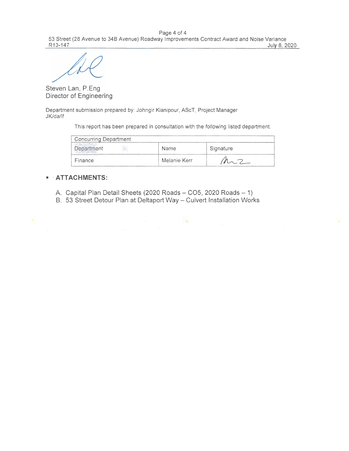Page 4 of 4 53 Street (28 Avenue to 348 Avenue) Roadway Improvements Contract Award and Noise Variance R13-147 July 8, 2020

Steven Lan, P.Eng Director of Engineering

Department submission prepared by: Johngir Kianipour, AScT, Project Manager JK/da/lf

This report has been prepared in consultation with the following listed department.

| <b>Concurring Department</b> |              |           |
|------------------------------|--------------|-----------|
| Department<br>謝              | Name         | Signature |
| Finance                      | Melanie Kerr |           |

#### ■ · **ATTACHMENTS:**

- A. Capital Plan Detail Sheets (2020 Roads CO5, 2020 Roads 1)
- B. 53 Street Detour Plan at Deltaport Way Culvert Installation Works

のことには、このことには、このことがある。このことは、「最も、このことになっている」ということがある。<br>このことには、このことには、このことには、「このこと」ということがある。<br>このことには、「このこと」ということには、「このこと」ということになっている。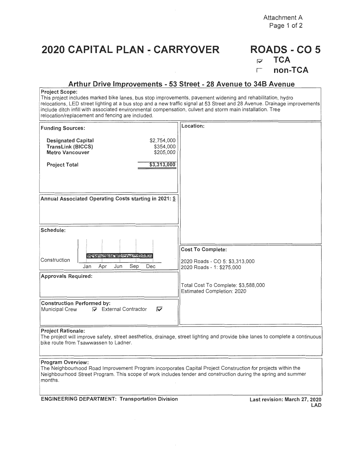**Attachment A Page 1 of 2** 

# **2020 CAPITAL PLAN - CARRYOVER**

# **ROADS -CO 5** ~ **TCA**  r **non-TCA**

## **Arthur Drive mprovements - 53 Street - 28 Avenue to 348 Avenue**

#### **Project Scope:**

This project includes marked bike lanes, bus stop improvements, pavement widening and rehabilitation, hydro relocations, LED street lighting at a bus stop and a new traffic signal at 53 Street and 28 Avenue. Drainage improvements include ditch infill with associated environmental compensation, culvert and storm main installation. Tree relocation/replacement and fencing are included.

| <b>Funding Sources:</b>                                                                                                  | Location:                                                         |
|--------------------------------------------------------------------------------------------------------------------------|-------------------------------------------------------------------|
| \$2,754,000<br><b>Designated Capital</b><br><b>TransLink (BICCS)</b><br>\$354,000<br>\$205,000<br><b>Metro Vancouver</b> |                                                                   |
| \$3,313,000<br><b>Project Total</b>                                                                                      |                                                                   |
|                                                                                                                          |                                                                   |
|                                                                                                                          |                                                                   |
| Annual Associated Operating Costs starting in 2021: \$                                                                   |                                                                   |
|                                                                                                                          |                                                                   |
| Schedule:                                                                                                                |                                                                   |
|                                                                                                                          |                                                                   |
| <b>BACK AND RESIDENCE</b><br>Construction                                                                                | <b>Cost To Complete:</b>                                          |
| Sep<br>Dec<br>Jun<br>Jan<br>Apr                                                                                          | 2020 Roads - CO 5: \$3,313,000<br>2020 Roads - 1: \$275,000       |
| <b>Approvals Required:</b>                                                                                               |                                                                   |
|                                                                                                                          | Total Cost To Complete: \$3,588,000<br>Estimated Completion: 2020 |
| <b>Construction Performed by:</b><br>External Contractor<br>M<br>Municipal Crew                                          |                                                                   |

#### **Project Rationale:**

The project will improve safety, street aesthetics, drainage, street lighting and provide bike lanes to complete a continuous bike route from Tsawwassen to Ladner.

#### **Program Overview:**

The Neighbourhood Road Improvement Program incorporates Capital Project Construction for projects within the Neighbourhood Street Program. This scope of work includes tender and construction during the spring and summer months.

**ENGINEERING DEPARTMENT: Transportation Division Last revision: March 27, 2020**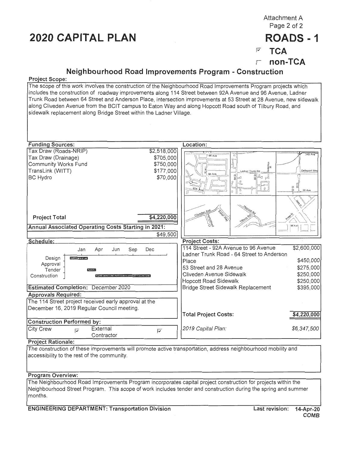# **2020 CAPITAL PLAN ROADS** - **1**

Attachment A Page 2 of 2

# <sup>17</sup>**TCA**

r **non-TCA** 

# **Neighbourhood Road Improvements Program** - **Construction**

#### **Project Scope:**

The scope of this work involves the construction of the Neighbourhood Road Improvements Program projects which includes the construction of roadway improvements along 114 Street between 92A Avenue and 96 Avenue, Ladner Trunk Road between 64 Street and Anderson Place, intersection improvements at 53 Street at 28 Avenue, new sidewalk along Cliveden Avenue from the BCIT campus to Eaton Way and along Hopcott Road south of Tilbury Road, and sidewalk replacement along Bridge Street within the Ladner Village.



**Program Overview:** 

The Neighbourhood Road Improvements Program incorporates capital project construction for projects within the Neighbourhood Street Program . This scope of work includes tender and construction during the spring and summer months.

**ENGINEERING DEPARTMENT: Transportation Division Last revision: 14-Apr-20**